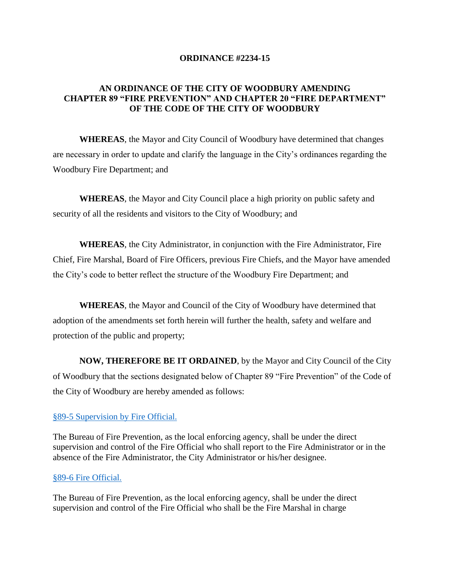#### **ORDINANCE #2234-15**

# **AN ORDINANCE OF THE CITY OF WOODBURY AMENDING CHAPTER 89 "FIRE PREVENTION" AND CHAPTER 20 "FIRE DEPARTMENT" OF THE CODE OF THE CITY OF WOODBURY**

**WHEREAS**, the Mayor and City Council of Woodbury have determined that changes are necessary in order to update and clarify the language in the City's ordinances regarding the Woodbury Fire Department; and

**WHEREAS**, the Mayor and City Council place a high priority on public safety and security of all the residents and visitors to the City of Woodbury; and

**WHEREAS**, the City Administrator, in conjunction with the Fire Administrator, Fire Chief, Fire Marshal, Board of Fire Officers, previous Fire Chiefs, and the Mayor have amended the City's code to better reflect the structure of the Woodbury Fire Department; and

**WHEREAS**, the Mayor and Council of the City of Woodbury have determined that adoption of the amendments set forth herein will further the health, safety and welfare and protection of the public and property;

**NOW, THEREFORE BE IT ORDAINED**, by the Mayor and City Council of the City of Woodbury that the sections designated below of Chapter 89 "Fire Prevention" of the Code of the City of Woodbury are hereby amended as follows:

#### §89-5 [Supervision by](http://ecode360.com/11413436?highlight=fire#11413436) Fire Official.

The Bureau of Fire Prevention, as the local enforcing agency, shall be under the direct supervision and control of the Fire Official who shall report to the Fire Administrator or in the absence of the Fire Administrator, the City Administrator or his/her designee.

#### §89-6 Fire [Official.](http://ecode360.com/11413436?highlight=fire#11413437)

The Bureau of Fire Prevention, as the local enforcing agency, shall be under the direct supervision and control of the Fire Official who shall be the Fire Marshal in charge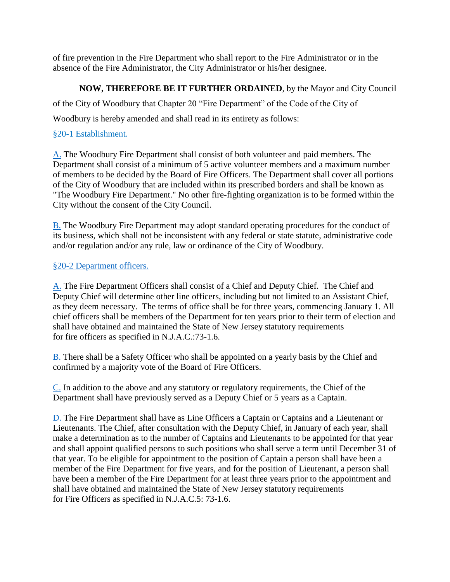of fire prevention in the Fire Department who shall report to the Fire Administrator or in the absence of the Fire Administrator, the City Administrator or his/her designee.

# **NOW, THEREFORE BE IT FURTHER ORDAINED**, by the Mayor and City Council

of the City of Woodbury that Chapter 20 "Fire Department" of the Code of the City of

Woodbury is hereby amended and shall read in its entirety as follows:

# §20-1 Establishment.

[A.](http://ecode360.com/11412364#11412364) The Woodbury Fire Department shall consist of both volunteer and paid members. The Department shall consist of a minimum of 5 active volunteer members and a maximum number of members to be decided by the Board of Fire Officers. The Department shall cover all portions of the City of Woodbury that are included within its prescribed borders and shall be known as "The Woodbury Fire Department." No other fire-fighting organization is to be formed within the City without the consent of the City Council.

[B.](http://ecode360.com/11412365#11412365) The Woodbury Fire Department may adopt standard operating procedures for the conduct of its business, which shall not be inconsistent with any federal or state statute, administrative code and/or regulation and/or any rule, law or ordinance of the City of Woodbury.

# §20-2 [Department officers.](http://ecode360.com/11412363?highlight=fires,fire#11412366)

[A.](http://ecode360.com/11412367#11412367) The Fire Department Officers shall consist of a Chief and Deputy Chief. The Chief and Deputy Chief will determine other line officers, including but not limited to an Assistant Chief, as they deem necessary. The terms of office shall be for three years, commencing January 1. All chief officers shall be members of the Department for ten years prior to their term of election and shall have obtained and maintained the State of New Jersey statutory requirements for fire officers as specified in N.J.A.C.:73-1.6.

[B.](http://ecode360.com/11412368#11412368) There shall be a Safety Officer who shall be appointed on a yearly basis by the Chief and confirmed by a majority vote of the Board of Fire Officers.

[C.](http://ecode360.com/11412369#11412369) In addition to the above and any statutory or regulatory requirements, the Chief of the Department shall have previously served as a Deputy Chief or 5 years as a Captain.

[D.](http://ecode360.com/11412370#11412370) The Fire Department shall have as Line Officers a Captain or Captains and a Lieutenant or Lieutenants. The Chief, after consultation with the Deputy Chief, in January of each year, shall make a determination as to the number of Captains and Lieutenants to be appointed for that year and shall appoint qualified persons to such positions who shall serve a term until December 31 of that year. To be eligible for appointment to the position of Captain a person shall have been a member of the Fire Department for five years, and for the position of Lieutenant, a person shall have been a member of the Fire Department for at least three years prior to the appointment and shall have obtained and maintained the State of New Jersey statutory requirements for Fire Officers as specified in N.J.A.C.5: 73-1.6.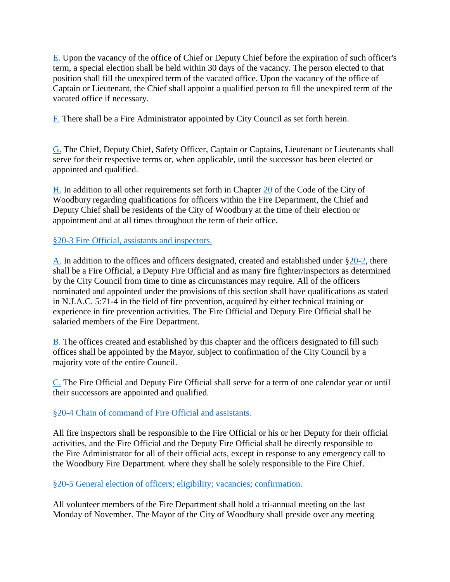[E.](http://ecode360.com/11412371#11412371) Upon the vacancy of the office of Chief or Deputy Chief before the expiration of such officer's term, a special election shall be held within 30 days of the vacancy. The person elected to that position shall fill the unexpired term of the vacated office. Upon the vacancy of the office of Captain or Lieutenant, the Chief shall appoint a qualified person to fill the unexpired term of the vacated office if necessary.

[F.](http://ecode360.com/11412372#11412372) There shall be a Fire Administrator appointed by City Council as set forth herein.

[G.](http://ecode360.com/13923949#13923949) The Chief, Deputy Chief, Safety Officer, Captain or Captains, Lieutenant or Lieutenants shall serve for their respective terms or, when applicable, until the successor has been elected or appointed and qualified.

 $H$ . In addition to all other requirements set forth in Chapter  $20$  of the Code of the City of Woodbury regarding qualifications for officers within the Fire Department, the Chief and Deputy Chief shall be residents of the City of Woodbury at the time of their election or appointment and at all times throughout the term of their office.

# §20-3 Fire [Official, assistants and inspectors.](http://ecode360.com/11412363?highlight=fires,fire#11412373)

[A.](http://ecode360.com/11412374#11412374) In addition to the offices and officers designated, created and established under [§20-2,](http://ecode360.com/11412366#11412366) there shall be a Fire Official, a Deputy Fire Official and as many fire fighter/inspectors as determined by the City Council from time to time as circumstances may require. All of the officers nominated and appointed under the provisions of this section shall have qualifications as stated in N.J.A.C. 5:71-4 in the field of fire prevention, acquired by either technical training or experience in fire prevention activities. The Fire Official and Deputy Fire Official shall be salaried members of the Fire Department.

[B.](http://ecode360.com/11412375#11412375) The offices created and established by this chapter and the officers designated to fill such offices shall be appointed by the Mayor, subject to confirmation of the City Council by a majority vote of the entire Council.

[C.](http://ecode360.com/11412377#11412377) The Fire Official and Deputy Fire Official shall serve for a term of one calendar year or until their successors are appointed and qualified.

## §20-4 Chain of command of Fire [Official and assistants.](http://ecode360.com/11412363?highlight=fires,fire#11412378)

All fire inspectors shall be responsible to the Fire Official or his or her Deputy for their official activities, and the Fire Official and the Deputy Fire Official shall be directly responsible to the Fire Administrator for all of their official acts, except in response to any emergency call to the Woodbury Fire Department. where they shall be solely responsible to the Fire Chief.

§20-5 [General election of officers; eligibility; vacancies; confirmation.](http://ecode360.com/11412363?highlight=fires,fire#11412379)

All volunteer members of the Fire Department shall hold a tri-annual meeting on the last Monday of November. The Mayor of the City of Woodbury shall preside over any meeting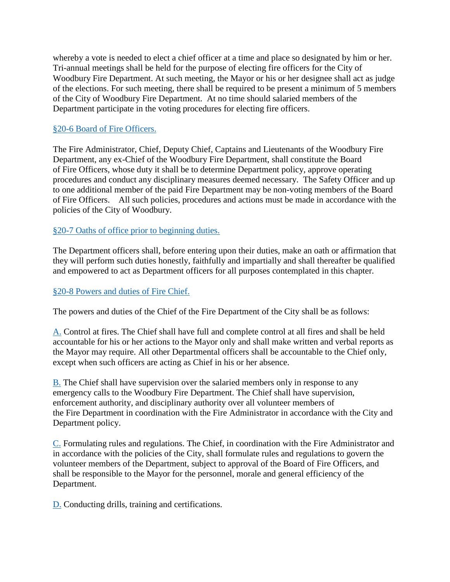whereby a vote is needed to elect a chief officer at a time and place so designated by him or her. Tri-annual meetings shall be held for the purpose of electing fire officers for the City of Woodbury Fire Department. At such meeting, the Mayor or his or her designee shall act as judge of the elections. For such meeting, there shall be required to be present a minimum of 5 members of the City of Woodbury Fire Department. At no time should salaried members of the Department participate in the voting procedures for electing fire officers.

## §20-6 Board of Fire [Officers.](http://ecode360.com/11412363?highlight=fires,fire#11412380)

The Fire Administrator, Chief, Deputy Chief, Captains and Lieutenants of the Woodbury Fire Department, any ex-Chief of the Woodbury Fire Department, shall constitute the Board of Fire Officers, whose duty it shall be to determine Department policy, approve operating procedures and conduct any disciplinary measures deemed necessary. The Safety Officer and up to one additional member of the paid Fire Department may be non-voting members of the Board of Fire Officers. All such policies, procedures and actions must be made in accordance with the policies of the City of Woodbury.

## §20-7 [Oaths of office prior to beginning duties.](http://ecode360.com/11412363?highlight=fires,fire#11412381)

The Department officers shall, before entering upon their duties, make an oath or affirmation that they will perform such duties honestly, faithfully and impartially and shall thereafter be qualified and empowered to act as Department officers for all purposes contemplated in this chapter.

#### §20-8 [Powers and duties of](http://ecode360.com/11412363?highlight=fires,fire#11412382) Fire Chief.

The powers and duties of the Chief of the Fire Department of the City shall be as follows:

[A.](http://ecode360.com/11412383#11412383) Control at fires. The Chief shall have full and complete control at all fires and shall be held accountable for his or her actions to the Mayor only and shall make written and verbal reports as the Mayor may require. All other Departmental officers shall be accountable to the Chief only, except when such officers are acting as Chief in his or her absence.

[B.](http://ecode360.com/11412384#11412384) The Chief shall have supervision over the salaried members only in response to any emergency calls to the Woodbury Fire Department. The Chief shall have supervision, enforcement authority, and disciplinary authority over all volunteer members of the Fire Department in coordination with the Fire Administrator in accordance with the City and Department policy.

[C.](http://ecode360.com/11412385#11412385) Formulating rules and regulations. The Chief, in coordination with the Fire Administrator and in accordance with the policies of the City, shall formulate rules and regulations to govern the volunteer members of the Department, subject to approval of the Board of Fire Officers, and shall be responsible to the Mayor for the personnel, morale and general efficiency of the Department.

[D.](http://ecode360.com/11412386#11412386) Conducting drills, training and certifications.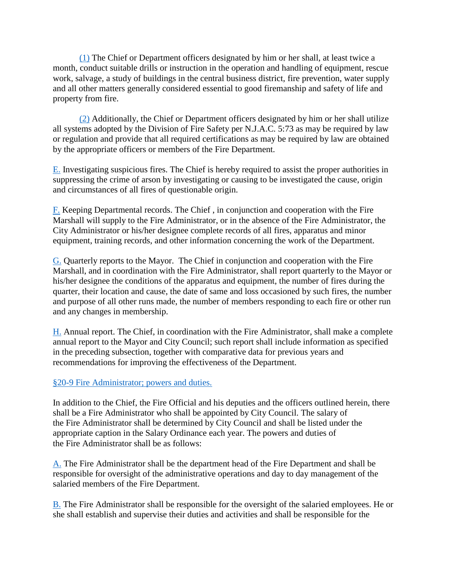[\(1\)](http://ecode360.com/11412387#11412387) The Chief or Department officers designated by him or her shall, at least twice a month, conduct suitable drills or instruction in the operation and handling of equipment, rescue work, salvage, a study of buildings in the central business district, fire prevention, water supply and all other matters generally considered essential to good firemanship and safety of life and property from fire.

[\(2\)](http://ecode360.com/11412388#11412388) Additionally, the Chief or Department officers designated by him or her shall utilize all systems adopted by the Division of Fire Safety per N.J.A.C. 5:73 as may be required by law or regulation and provide that all required certifications as may be required by law are obtained by the appropriate officers or members of the Fire Department.

[E.](http://ecode360.com/11412389#11412389) Investigating suspicious fires. The Chief is hereby required to assist the proper authorities in suppressing the crime of arson by investigating or causing to be investigated the cause, origin and circumstances of all fires of questionable origin.

[F.](http://ecode360.com/11412390#11412390) Keeping Departmental records. The Chief , in conjunction and cooperation with the Fire Marshall will supply to the Fire Administrator, or in the absence of the Fire Administrator, the City Administrator or his/her designee complete records of all fires, apparatus and minor equipment, training records, and other information concerning the work of the Department.

[G.](http://ecode360.com/11412391#11412391) Quarterly reports to the Mayor. The Chief in conjunction and cooperation with the Fire Marshall, and in coordination with the Fire Administrator, shall report quarterly to the Mayor or his/her designee the conditions of the apparatus and equipment, the number of fires during the quarter, their location and cause, the date of same and loss occasioned by such fires, the number and purpose of all other runs made, the number of members responding to each fire or other run and any changes in membership.

[H.](http://ecode360.com/11412392#11412392) Annual report. The Chief, in coordination with the Fire Administrator, shall make a complete annual report to the Mayor and City Council; such report shall include information as specified in the preceding subsection, together with comparative data for previous years and recommendations for improving the effectiveness of the Department.

## §20-9 Fire [Administrator; powers and duties.](http://ecode360.com/11412363?highlight=fires,fire#11412393)

In addition to the Chief, the Fire Official and his deputies and the officers outlined herein, there shall be a Fire Administrator who shall be appointed by City Council. The salary of the Fire Administrator shall be determined by City Council and shall be listed under the appropriate caption in the Salary Ordinance each year. The powers and duties of the Fire Administrator shall be as follows:

[A.](http://ecode360.com/11412394#11412394) The Fire Administrator shall be the department head of the Fire Department and shall be responsible for oversight of the administrative operations and day to day management of the salaried members of the Fire Department.

[B.](http://ecode360.com/11412395#11412395) The Fire Administrator shall be responsible for the oversight of the salaried employees. He or she shall establish and supervise their duties and activities and shall be responsible for the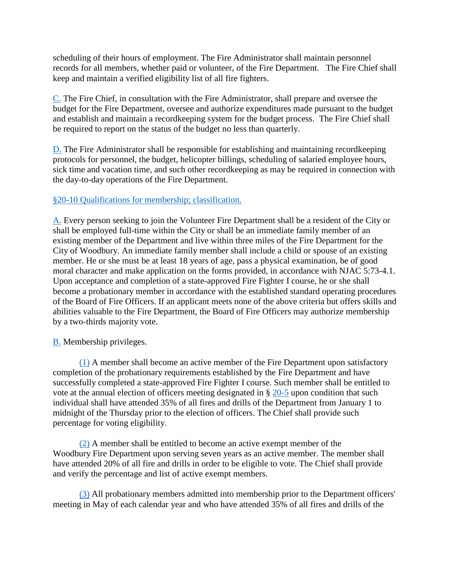scheduling of their hours of employment. The Fire Administrator shall maintain personnel records for all members, whether paid or volunteer, of the Fire Department. The Fire Chief shall keep and maintain a verified eligibility list of all fire fighters.

[C.](http://ecode360.com/11412396#11412396) The Fire Chief, in consultation with the Fire Administrator, shall prepare and oversee the budget for the Fire Department, oversee and authorize expenditures made pursuant to the budget and establish and maintain a recordkeeping system for the budget process. The Fire Chief shall be required to report on the status of the budget no less than quarterly.

[D.](http://ecode360.com/11412397#11412397) The Fire Administrator shall be responsible for establishing and maintaining recordkeeping protocols for personnel, the budget, helicopter billings, scheduling of salaried employee hours, sick time and vacation time, and such other recordkeeping as may be required in connection with the day-to-day operations of the Fire Department.

## §20-10 [Qualifications for membership; classification.](http://ecode360.com/11412363?highlight=fires,fire#11412398)

[A.](http://ecode360.com/11412399#11412399) Every person seeking to join the Volunteer Fire Department shall be a resident of the City or shall be employed full-time within the City or shall be an immediate family member of an existing member of the Department and live within three miles of the Fire Department for the City of Woodbury. An immediate family member shall include a child or spouse of an existing member. He or she must be at least 18 years of age, pass a physical examination, be of good moral character and make application on the forms provided, in accordance with NJAC 5:73-4.1. Upon acceptance and completion of a state-approved Fire Fighter I course, he or she shall become a probationary member in accordance with the established standard operating procedures of the Board of Fire Officers. If an applicant meets none of the above criteria but offers skills and abilities valuable to the Fire Department, the Board of Fire Officers may authorize membership by a two-thirds majority vote.

[B.](http://ecode360.com/11412400#11412400) Membership privileges.

[\(1\)](http://ecode360.com/11412401#11412401) A member shall become an active member of the Fire Department upon satisfactory completion of the probationary requirements established by the Fire Department and have successfully completed a state-approved Fire Fighter I course. Such member shall be entitled to vote at the annual election of officers meeting designated in § [20-5](http://ecode360.com/11412379#11412379) upon condition that such individual shall have attended 35% of all fires and drills of the Department from January 1 to midnight of the Thursday prior to the election of officers. The Chief shall provide such percentage for voting eligibility.

[\(2\)](http://ecode360.com/11412402#11412402) A member shall be entitled to become an active exempt member of the Woodbury Fire Department upon serving seven years as an active member. The member shall have attended 20% of all fire and drills in order to be eligible to vote. The Chief shall provide and verify the percentage and list of active exempt members.

[\(3\)](http://ecode360.com/11412403#11412403) All probationary members admitted into membership prior to the Department officers' meeting in May of each calendar year and who have attended 35% of all fires and drills of the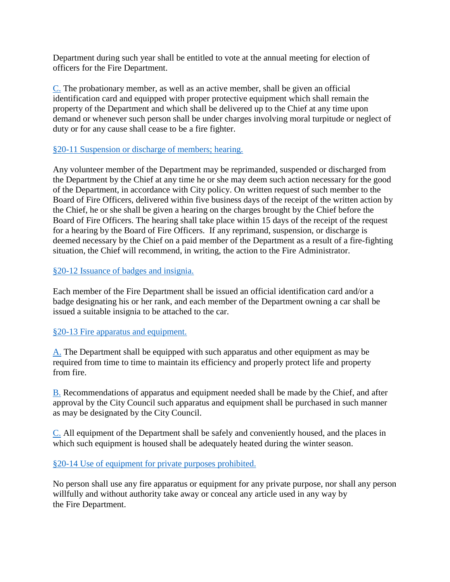Department during such year shall be entitled to vote at the annual meeting for election of officers for the Fire Department.

[C.](http://ecode360.com/11412404#11412404) The probationary member, as well as an active member, shall be given an official identification card and equipped with proper protective equipment which shall remain the property of the Department and which shall be delivered up to the Chief at any time upon demand or whenever such person shall be under charges involving moral turpitude or neglect of duty or for any cause shall cease to be a fire fighter.

## §20-11 [Suspension or discharge of members; hearing.](http://ecode360.com/11412363?highlight=fires,fire#11412405)

Any volunteer member of the Department may be reprimanded, suspended or discharged from the Department by the Chief at any time he or she may deem such action necessary for the good of the Department, in accordance with City policy. On written request of such member to the Board of Fire Officers, delivered within five business days of the receipt of the written action by the Chief, he or she shall be given a hearing on the charges brought by the Chief before the Board of Fire Officers. The hearing shall take place within 15 days of the receipt of the request for a hearing by the Board of Fire Officers. If any reprimand, suspension, or discharge is deemed necessary by the Chief on a paid member of the Department as a result of a fire-fighting situation, the Chief will recommend, in writing, the action to the Fire Administrator.

## §20-12 [Issuance of badges and insignia.](http://ecode360.com/11412363?highlight=fires,fire#11412406)

Each member of the Fire Department shall be issued an official identification card and/or a badge designating his or her rank, and each member of the Department owning a car shall be issued a suitable insignia to be attached to the car.

## §20-13 Fire [apparatus and equipment.](http://ecode360.com/11412363?highlight=fires,fire#11412407)

[A.](http://ecode360.com/11412408#11412408) The Department shall be equipped with such apparatus and other equipment as may be required from time to time to maintain its efficiency and properly protect life and property from fire.

[B.](http://ecode360.com/11412409#11412409) Recommendations of apparatus and equipment needed shall be made by the Chief, and after approval by the City Council such apparatus and equipment shall be purchased in such manner as may be designated by the City Council.

[C.](http://ecode360.com/11412410#11412410) All equipment of the Department shall be safely and conveniently housed, and the places in which such equipment is housed shall be adequately heated during the winter season.

#### §20-14 [Use of equipment for private purposes prohibited.](http://ecode360.com/11412363?highlight=fires,fire#11412411)

No person shall use any fire apparatus or equipment for any private purpose, nor shall any person willfully and without authority take away or conceal any article used in any way by the Fire Department.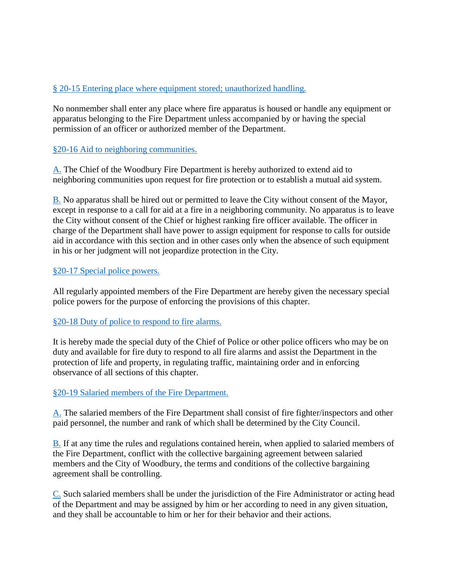# § 20-15 [Entering place where equipment stored; unauthorized handling.](http://ecode360.com/11412363?highlight=fires,fire#11412412)

No nonmember shall enter any place where fire apparatus is housed or handle any equipment or apparatus belonging to the Fire Department unless accompanied by or having the special permission of an officer or authorized member of the Department.

## §20-16 [Aid to neighboring communities.](http://ecode360.com/11412363?highlight=fires,fire#11412413)

[A.](http://ecode360.com/11412414#11412414) The Chief of the Woodbury Fire Department is hereby authorized to extend aid to neighboring communities upon request for fire protection or to establish a mutual aid system.

[B.](http://ecode360.com/11412415#11412415) No apparatus shall be hired out or permitted to leave the City without consent of the Mayor, except in response to a call for aid at a fire in a neighboring community. No apparatus is to leave the City without consent of the Chief or highest ranking fire officer available. The officer in charge of the Department shall have power to assign equipment for response to calls for outside aid in accordance with this section and in other cases only when the absence of such equipment in his or her judgment will not jeopardize protection in the City.

## §20-17 [Special police powers.](http://ecode360.com/11412363?highlight=fires,fire#11412416)

All regularly appointed members of the Fire Department are hereby given the necessary special police powers for the purpose of enforcing the provisions of this chapter.

## §20-18 [Duty of police to respond to](http://ecode360.com/11412363?highlight=fires,fire#11412417) fire alarms.

It is hereby made the special duty of the Chief of Police or other police officers who may be on duty and available for fire duty to respond to all fire alarms and assist the Department in the protection of life and property, in regulating traffic, maintaining order and in enforcing observance of all sections of this chapter.

## §20-19 [Salaried members of the](http://ecode360.com/11412363?highlight=fires,fire#11412418) Fire Department.

[A.](http://ecode360.com/11412419#11412419) The salaried members of the Fire Department shall consist of fire fighter/inspectors and other paid personnel, the number and rank of which shall be determined by the City Council.

[B.](http://ecode360.com/11412420#11412420) If at any time the rules and regulations contained herein, when applied to salaried members of the Fire Department, conflict with the collective bargaining agreement between salaried members and the City of Woodbury, the terms and conditions of the collective bargaining agreement shall be controlling.

[C.](http://ecode360.com/11412421#11412421) Such salaried members shall be under the jurisdiction of the Fire Administrator or acting head of the Department and may be assigned by him or her according to need in any given situation, and they shall be accountable to him or her for their behavior and their actions.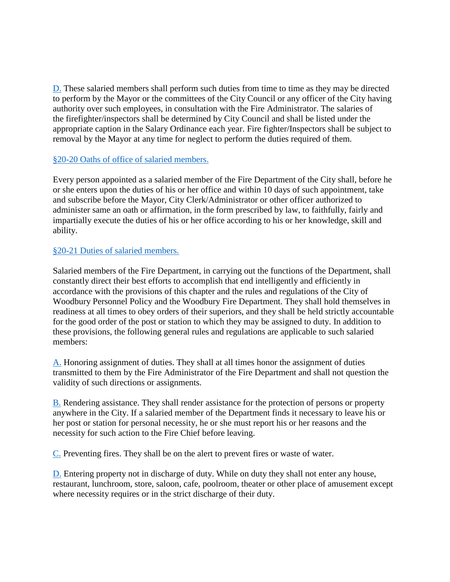[D.](http://ecode360.com/11412422#11412422) These salaried members shall perform such duties from time to time as they may be directed to perform by the Mayor or the committees of the City Council or any officer of the City having authority over such employees, in consultation with the Fire Administrator. The salaries of the firefighter/inspectors shall be determined by City Council and shall be listed under the appropriate caption in the Salary Ordinance each year. Fire fighter/Inspectors shall be subject to removal by the Mayor at any time for neglect to perform the duties required of them.

## §20-20 [Oaths of office of salaried members.](http://ecode360.com/11412363?highlight=fires,fire#11412423)

Every person appointed as a salaried member of the Fire Department of the City shall, before he or she enters upon the duties of his or her office and within 10 days of such appointment, take and subscribe before the Mayor, City Clerk/Administrator or other officer authorized to administer same an oath or affirmation, in the form prescribed by law, to faithfully, fairly and impartially execute the duties of his or her office according to his or her knowledge, skill and ability.

## §20-21 [Duties of salaried members.](http://ecode360.com/11412363?highlight=fires,fire#11412424)

Salaried members of the Fire Department, in carrying out the functions of the Department, shall constantly direct their best efforts to accomplish that end intelligently and efficiently in accordance with the provisions of this chapter and the rules and regulations of the City of Woodbury Personnel Policy and the Woodbury Fire Department. They shall hold themselves in readiness at all times to obey orders of their superiors, and they shall be held strictly accountable for the good order of the post or station to which they may be assigned to duty. In addition to these provisions, the following general rules and regulations are applicable to such salaried members:

[A.](http://ecode360.com/11412425#11412425) Honoring assignment of duties. They shall at all times honor the assignment of duties transmitted to them by the Fire Administrator of the Fire Department and shall not question the validity of such directions or assignments.

[B.](http://ecode360.com/11412426#11412426) Rendering assistance. They shall render assistance for the protection of persons or property anywhere in the City. If a salaried member of the Department finds it necessary to leave his or her post or station for personal necessity, he or she must report his or her reasons and the necessity for such action to the Fire Chief before leaving.

[C.](http://ecode360.com/11412427#11412427) Preventing fires. They shall be on the alert to prevent fires or waste of water.

[D.](http://ecode360.com/11412428#11412428) Entering property not in discharge of duty. While on duty they shall not enter any house, restaurant, lunchroom, store, saloon, cafe, poolroom, theater or other place of amusement except where necessity requires or in the strict discharge of their duty.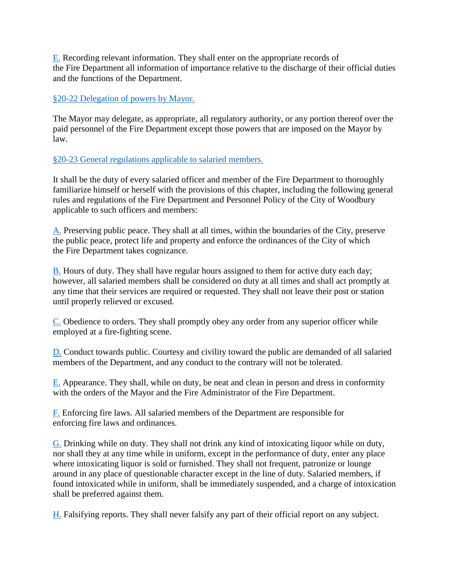[E.](http://ecode360.com/11412429#11412429) Recording relevant information. They shall enter on the appropriate records of the Fire Department all information of importance relative to the discharge of their official duties and the functions of the Department.

## §20-22 [Delegation of powers by Mayor.](http://ecode360.com/11412363?highlight=fires,fire#11412430)

The Mayor may delegate, as appropriate, all regulatory authority, or any portion thereof over the paid personnel of the Fire Department except those powers that are imposed on the Mayor by law.

§20-23 [General regulations applicable to salaried members.](http://ecode360.com/11412363?highlight=fires,fire#11412433)

It shall be the duty of every salaried officer and member of the Fire Department to thoroughly familiarize himself or herself with the provisions of this chapter, including the following general rules and regulations of the Fire Department and Personnel Policy of the City of Woodbury applicable to such officers and members:

[A.](http://ecode360.com/11412434#11412434) Preserving public peace. They shall at all times, within the boundaries of the City, preserve the public peace, protect life and property and enforce the ordinances of the City of which the Fire Department takes cognizance.

[B.](http://ecode360.com/11412435#11412435) Hours of duty. They shall have regular hours assigned to them for active duty each day; however, all salaried members shall be considered on duty at all times and shall act promptly at any time that their services are required or requested. They shall not leave their post or station until properly relieved or excused.

[C.](http://ecode360.com/11412436#11412436) Obedience to orders. They shall promptly obey any order from any superior officer while employed at a fire-fighting scene.

[D.](http://ecode360.com/11412437#11412437) Conduct towards public. Courtesy and civility toward the public are demanded of all salaried members of the Department, and any conduct to the contrary will not be tolerated.

[E.](http://ecode360.com/11412438#11412438) Appearance. They shall, while on duty, be neat and clean in person and dress in conformity with the orders of the Mayor and the Fire Administrator of the Fire Department.

[F.](http://ecode360.com/11412439#11412439) Enforcing fire laws. All salaried members of the Department are responsible for enforcing fire laws and ordinances.

[G.](http://ecode360.com/11412440#11412440) Drinking while on duty. They shall not drink any kind of intoxicating liquor while on duty, nor shall they at any time while in uniform, except in the performance of duty, enter any place where intoxicating liquor is sold or furnished. They shall not frequent, patronize or lounge around in any place of questionable character except in the line of duty. Salaried members, if found intoxicated while in uniform, shall be immediately suspended, and a charge of intoxication shall be preferred against them.

[H.](http://ecode360.com/11412441#11412441) Falsifying reports. They shall never falsify any part of their official report on any subject.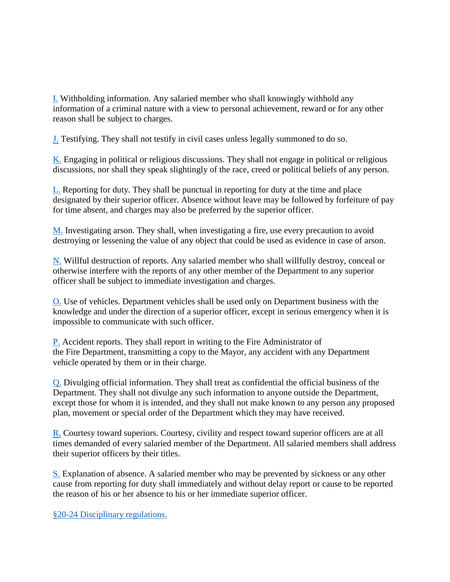[I.](http://ecode360.com/11412442#11412442) Withholding information. Any salaried member who shall knowingly withhold any information of a criminal nature with a view to personal achievement, reward or for any other reason shall be subject to charges.

[J.](http://ecode360.com/11412443#11412443) Testifying. They shall not testify in civil cases unless legally summoned to do so.

[K.](http://ecode360.com/11412445#11412445) Engaging in political or religious discussions. They shall not engage in political or religious discussions, nor shall they speak slightingly of the race, creed or political beliefs of any person.

[L.](http://ecode360.com/11412446#11412446) Reporting for duty. They shall be punctual in reporting for duty at the time and place designated by their superior officer. Absence without leave may be followed by forfeiture of pay for time absent, and charges may also be preferred by the superior officer.

[M.](http://ecode360.com/11412447#11412447) Investigating arson. They shall, when investigating a fire, use every precaution to avoid destroying or lessening the value of any object that could be used as evidence in case of arson.

[N.](http://ecode360.com/11412448#11412448) Willful destruction of reports. Any salaried member who shall willfully destroy, conceal or otherwise interfere with the reports of any other member of the Department to any superior officer shall be subject to immediate investigation and charges.

[O.](http://ecode360.com/11412449#11412449) Use of vehicles. Department vehicles shall be used only on Department business with the knowledge and under the direction of a superior officer, except in serious emergency when it is impossible to communicate with such officer.

[P.](http://ecode360.com/11412450#11412450) Accident reports. They shall report in writing to the Fire Administrator of the Fire Department, transmitting a copy to the Mayor, any accident with any Department vehicle operated by them or in their charge.

[Q.](http://ecode360.com/11412451#11412451) Divulging official information. They shall treat as confidential the official business of the Department. They shall not divulge any such information to anyone outside the Department, except those for whom it is intended, and they shall not make known to any person any proposed plan, movement or special order of the Department which they may have received.

[R.](http://ecode360.com/11412452#11412452) Courtesy toward superiors. Courtesy, civility and respect toward superior officers are at all times demanded of every salaried member of the Department. All salaried members shall address their superior officers by their titles.

[S.](http://ecode360.com/11412453#11412453) Explanation of absence. A salaried member who may be prevented by sickness or any other cause from reporting for duty shall immediately and without delay report or cause to be reported the reason of his or her absence to his or her immediate superior officer.

§20-24 [Disciplinary regulations.](http://ecode360.com/11412363?highlight=fires,fire#11412454)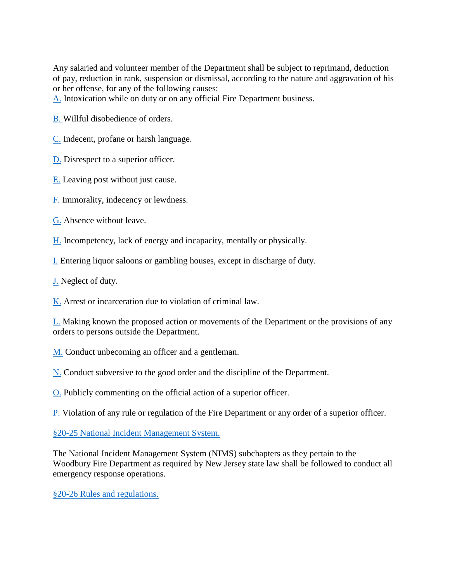Any salaried and volunteer member of the Department shall be subject to reprimand, deduction of pay, reduction in rank, suspension or dismissal, according to the nature and aggravation of his or her offense, for any of the following causes:

[A.](http://ecode360.com/11412455#11412455) Intoxication while on duty or on any official Fire Department business.

[B.](http://ecode360.com/11412456#11412456) Willful disobedience of orders.

[C.](http://ecode360.com/11412457#11412457) Indecent, profane or harsh language.

[D.](http://ecode360.com/11412458#11412458) Disrespect to a superior officer.

[E.](http://ecode360.com/11412459#11412459) Leaving post without just cause.

[F.](http://ecode360.com/11412460#11412460) Immorality, indecency or lewdness.

[G.](http://ecode360.com/11412461#11412461) Absence without leave.

[H.](http://ecode360.com/11412462#11412462) Incompetency, lack of energy and incapacity, mentally or physically.

[I.](http://ecode360.com/11412463#11412463) Entering liquor saloons or gambling houses, except in discharge of duty.

[J.](http://ecode360.com/11412464#11412464) Neglect of duty.

[K.](http://ecode360.com/11412465#11412465) Arrest or incarceration due to violation of criminal law.

[L.](http://ecode360.com/11412466#11412466) Making known the proposed action or movements of the Department or the provisions of any orders to persons outside the Department.

[M.](http://ecode360.com/11412467#11412467) Conduct unbecoming an officer and a gentleman.

[N.](http://ecode360.com/11412468#11412468) Conduct subversive to the good order and the discipline of the Department.

[O.](http://ecode360.com/11412469#11412469) Publicly commenting on the official action of a superior officer.

[P.](http://ecode360.com/11412470#11412470) Violation of any rule or regulation of the Fire Department or any order of a superior officer.

§20-25 [National Incident Management System.](http://ecode360.com/11412363?highlight=fires,fire#11412471)

The National Incident Management System (NIMS) subchapters as they pertain to the Woodbury Fire Department as required by New Jersey state law shall be followed to conduct all emergency response operations.

§20-26 [Rules and regulations.](http://ecode360.com/11412363?highlight=fires,fire#11412472)